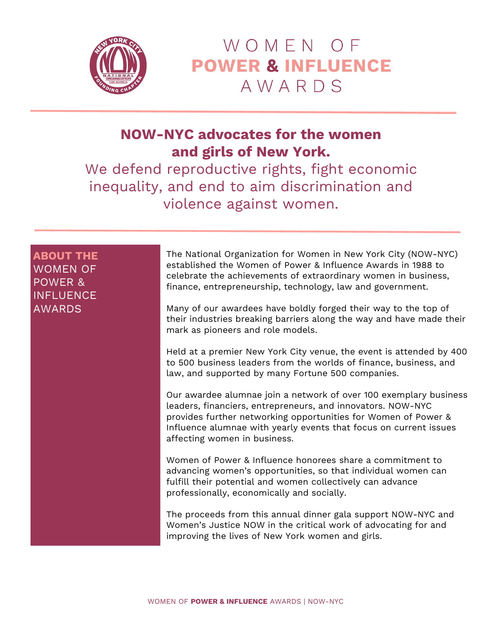

# WOMEN OF **POWER & INFLUENCE** AWARDS

## **NOW-NYC advocates for the women and girls of New York.**

We defend reproductive rights, fight economic inequality, and end to aim discrimination and violence against women.

**ABOUT THE** WOMEN OF POWER & **INFLUENCE** AWARDS

The National Organization for Women in New York City (NOW-NYC) established the Women of Power & Influence Awards in 1988 to celebrate the achievements of extraordinary women in business, finance, entrepreneurship, technology, law and government.

Many of our awardees have boldly forged their way to the top of their industries breaking barriers along the way and have made their mark as pioneers and role models.

Held at a premier New York City venue, the event is attended by 400 to 500 business leaders from the worlds of finance, business, and law, and supported by many Fortune 500 companies.

Our awardee alumnae join a network of over 100 exemplary business leaders, financiers, entrepreneurs, and innovators. NOW-NYC provides further networking opportunities for Women of Power & Influence alumnae with yearly events that focus on current issues affecting women in business.

Women of Power & Influence honorees share a commitment to advancing women's opportunities, so that individual women can fulfill their potential and women collectively can advance professionally, economically and socially.

The proceeds from this annual dinner gala support NOW-NYC and Women's Justice NOW in the critical work of advocating for and improving the lives of New York women and girls.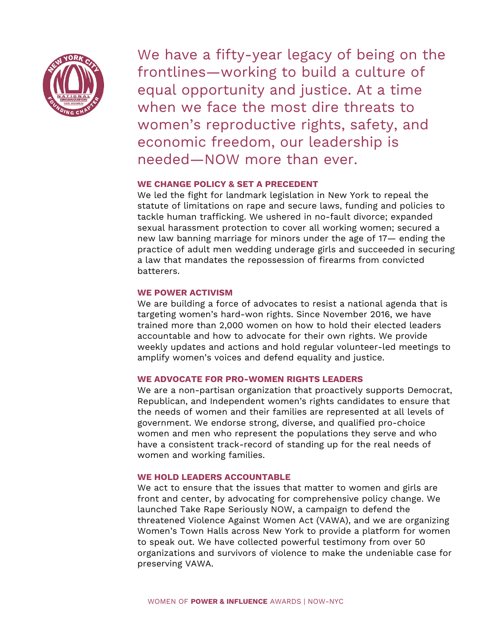

We have a fifty-year legacy of being on the frontlines—working to build a culture of equal opportunity and justice. At a time when we face the most dire threats to women's reproductive rights, safety, and economic freedom, our leadership is needed—NOW more than ever.

#### **WE CHANGE POLICY & SET A PRECEDENT**

We led the fight for landmark legislation in New York to repeal the statute of limitations on rape and secure laws, funding and policies to tackle human trafficking. We ushered in no-fault divorce; expanded sexual harassment protection to cover all working women; secured a new law banning marriage for minors under the age of 17— ending the practice of adult men wedding underage girls and succeeded in securing a law that mandates the repossession of firearms from convicted batterers.

#### **WE POWER ACTIVISM**

We are building a force of advocates to resist a national agenda that is targeting women's hard-won rights. Since November 2016, we have trained more than 2,000 women on how to hold their elected leaders accountable and how to advocate for their own rights. We provide weekly updates and actions and hold regular volunteer-led meetings to amplify women's voices and defend equality and justice.

#### **WE ADVOCATE FOR PRO-WOMEN RIGHTS LEADERS**

We are a non-partisan organization that proactively supports Democrat, Republican, and Independent women's rights candidates to ensure that the needs of women and their families are represented at all levels of government. We endorse strong, diverse, and qualified pro-choice women and men who represent the populations they serve and who have a consistent track-record of standing up for the real needs of women and working families.

#### **WE HOLD LEADERS ACCOUNTABLE**

We act to ensure that the issues that matter to women and girls are front and center, by advocating for comprehensive policy change. We launched Take Rape Seriously NOW, a campaign to defend the threatened Violence Against Women Act (VAWA), and we are organizing Women's Town Halls across New York to provide a platform for women to speak out. We have collected powerful testimony from over 50 organizations and survivors of violence to make the undeniable case for preserving VAWA.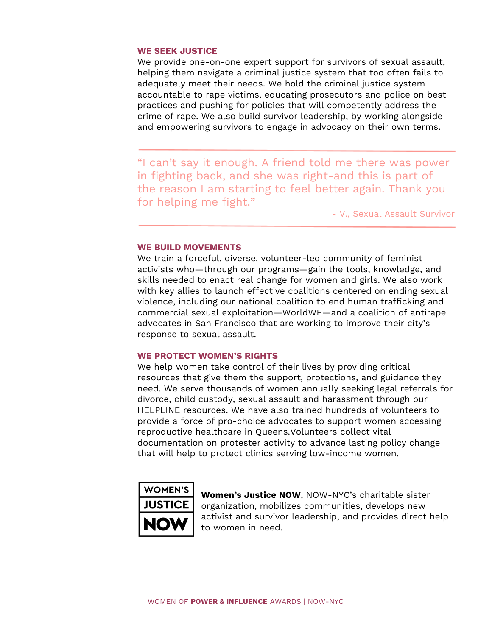#### **WE SEEK JUSTICE**

We provide one-on-one expert support for survivors of sexual assault, helping them navigate a criminal justice system that too often fails to adequately meet their needs. We hold the criminal justice system accountable to rape victims, educating prosecutors and police on best practices and pushing for policies that will competently address the crime of rape. We also build survivor leadership, by working alongside and empowering survivors to engage in advocacy on their own terms.

"I can't say it enough. A friend told me there was power in fighting back, and she was right-and this is part of the reason I am starting to feel better again. Thank you for helping me fight."

- V., Sexual Assault Survivor

#### **WE BUILD MOVEMENTS**

We train a forceful, diverse, volunteer-led community of feminist activists who—through our programs—gain the tools, knowledge, and skills needed to enact real change for women and girls. We also work with key allies to launch effective coalitions centered on ending sexual violence, including our national coalition to end human trafficking and commercial sexual exploitation—WorldWE—and a coalition of antirape advocates in San Francisco that are working to improve their city's response to sexual assault.

#### **WE PROTECT WOMEN'S RIGHTS**

We help women take control of their lives by providing critical resources that give them the support, protections, and guidance they need. We serve thousands of women annually seeking legal referrals for divorce, child custody, sexual assault and harassment through our HELPLINE resources. We have also trained hundreds of volunteers to provide a force of pro-choice advocates to support women accessing reproductive healthcare in Queens.Volunteers collect vital documentation on protester activity to advance lasting policy change that will help to protect clinics serving low-income women.



**Women's Justice NOW**, NOW-NYC's charitable sister organization, mobilizes communities, develops new activist and survivor leadership, and provides direct help to women in need.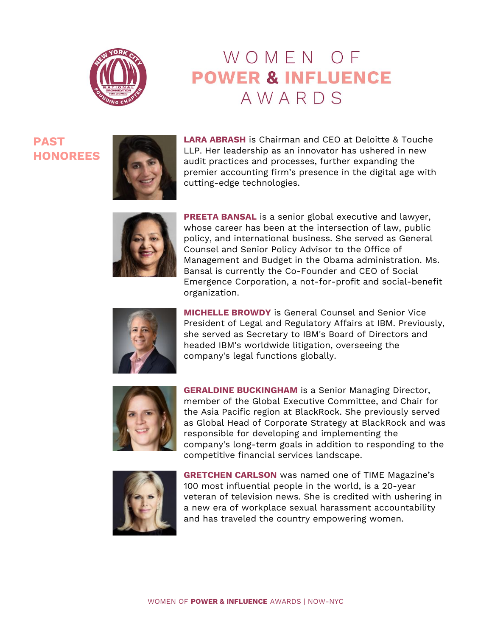

# WOMEN OF **POWER & INFLUENCE** AWARDS

**PAST HONOREES**



**LARA ABRASH** is Chairman and CEO at Deloitte & Touche LLP. Her leadership as an innovator has ushered in new audit practices and processes, further expanding the premier accounting firm's presence in the digital age with cutting-edge technologies.



**PREETA BANSAL** is a senior global executive and lawyer, whose career has been at the intersection of law, public policy, and international business. She served as General Counsel and Senior Policy Advisor to the Office of Management and Budget in the Obama administration. Ms. Bansal is currently the Co-Founder and CEO of Social Emergence Corporation, a not-for-profit and social-benefit organization.



**MICHELLE BROWDY** is General Counsel and Senior Vice President of Legal and Regulatory Affairs at IBM. Previously, she served as Secretary to IBM's Board of Directors and headed IBM's worldwide litigation, overseeing the company's legal functions globally.



**GERALDINE BUCKINGHAM** is a Senior Managing Director, member of the Global Executive Committee, and Chair for the Asia Pacific region at BlackRock. She previously served as Global Head of Corporate Strategy at BlackRock and was responsible for developing and implementing the company's long-term goals in addition to responding to the competitive financial services landscape.



**GRETCHEN CARLSON** was named one of TIME Magazine's 100 most influential people in the world, is a 20-year veteran of television news. She is credited with ushering in a new era of workplace sexual harassment accountability and has traveled the country empowering women.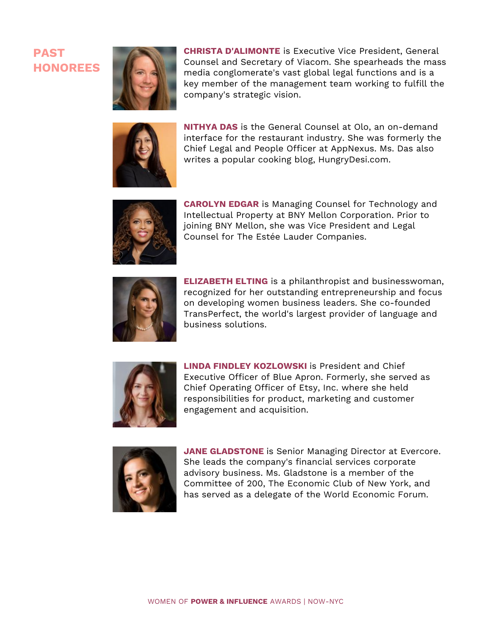

**CHRISTA D'ALIMONTE** is Executive Vice President, General Counsel and Secretary of Viacom. She spearheads the mass media conglomerate's vast global legal functions and is a key member of the management team working to fulfill the company's strategic vision.



**NITHYA DAS** is the General Counsel at Olo, an on-demand interface for the restaurant industry. She was formerly the Chief Legal and People Officer at AppNexus. Ms. Das also writes a popular cooking blog, HungryDesi.com.



**CAROLYN EDGAR** is Managing Counsel for Technology and Intellectual Property at BNY Mellon Corporation. Prior to joining BNY Mellon, she was Vice President and Legal Counsel for The Estée Lauder Companies.



**ELIZABETH ELTING** is a philanthropist and businesswoman, recognized for her outstanding entrepreneurship and focus on developing women business leaders. She co-founded TransPerfect, the world's largest provider of language and business solutions.



**LINDA FINDLEY KOZLOWSKI** is President and Chief Executive Officer of Blue Apron. Formerly, she served as Chief Operating Officer of Etsy, Inc. where she held responsibilities for product, marketing and customer engagement and acquisition.



**JANE GLADSTONE** is Senior Managing Director at Evercore. She leads the company's financial services corporate advisory business. Ms. Gladstone is a member of the Committee of 200, The Economic Club of New York, and has served as a delegate of the World Economic Forum.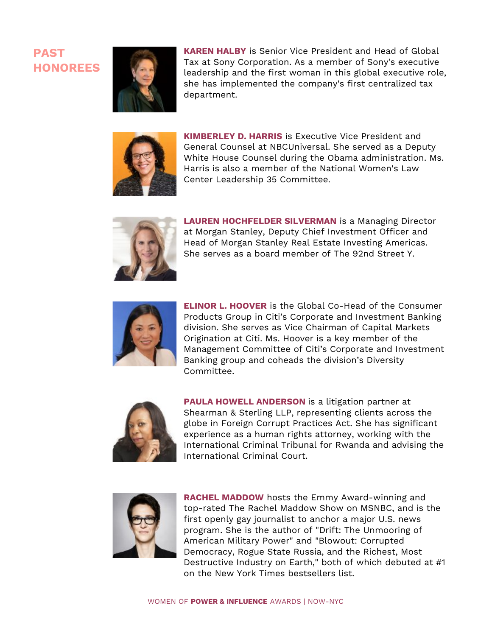

**KAREN HALBY** is Senior Vice President and Head of Global Tax at Sony Corporation. As a member of Sony's executive leadership and the first woman in this global executive role, she has implemented the company's first centralized tax department.



**KIMBERLEY D. HARRIS** is Executive Vice President and General Counsel at NBCUniversal. She served as a Deputy White House Counsel during the Obama administration. Ms. Harris is also a member of the National Women's Law Center Leadership 35 Committee.



**LAUREN HOCHFELDER SILVERMAN** is a Managing Director at Morgan Stanley, Deputy Chief Investment Officer and Head of Morgan Stanley Real Estate Investing Americas. She serves as a board member of The 92nd Street Y.



**ELINOR L. HOOVER** is the Global Co-Head of the Consumer Products Group in Citi's Corporate and Investment Banking division. She serves as Vice Chairman of Capital Markets Origination at Citi. Ms. Hoover is a key member of the Management Committee of Citi's Corporate and Investment Banking group and coheads the division's Diversity Committee.



**PAULA HOWELL ANDERSON** is a litigation partner at Shearman & Sterling LLP, representing clients across the globe in Foreign Corrupt Practices Act. She has significant experience as a human rights attorney, working with the International Criminal Tribunal for Rwanda and advising the International Criminal Court.



**RACHEL MADDOW** hosts the Emmy Award-winning and top-rated The Rachel Maddow Show on MSNBC, and is the first openly gay journalist to anchor a major U.S. news program. She is the author of "Drift: The Unmooring of American Military Power" and "Blowout: Corrupted Democracy, Rogue State Russia, and the Richest, Most Destructive Industry on Earth," both of which debuted at #1 on the New York Times bestsellers list.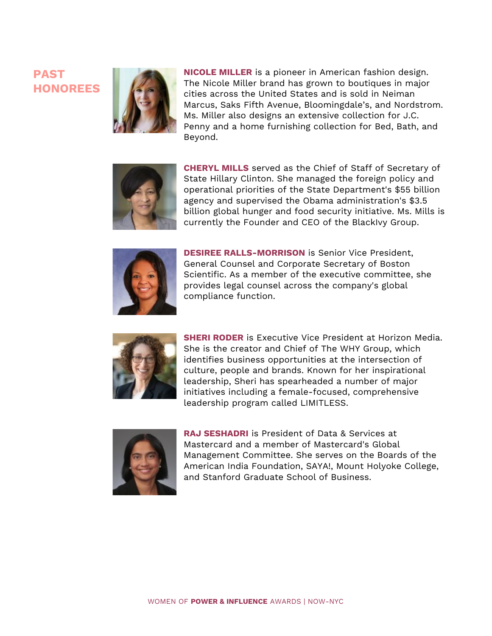

**NICOLE MILLER** is a pioneer in American fashion design. The Nicole Miller brand has grown to boutiques in major cities across the United States and is sold in Neiman Marcus, Saks Fifth Avenue, Bloomingdale's, and Nordstrom. Ms. Miller also designs an extensive collection for J.C. Penny and a home furnishing collection for Bed, Bath, and Beyond.



**CHERYL MILLS** served as the Chief of Staff of Secretary of State Hillary Clinton. She managed the foreign policy and operational priorities of the State Department's \$55 billion agency and supervised the Obama administration's \$3.5 billion global hunger and food security initiative. Ms. Mills is currently the Founder and CEO of the BlackIvy Group.



**DESIREE RALLS-MORRISON** is Senior Vice President, General Counsel and Corporate Secretary of Boston Scientific. As a member of the executive committee, she provides legal counsel across the company's global compliance function.



**SHERI RODER** is Executive Vice President at Horizon Media. She is the creator and Chief of The WHY Group, which identifies business opportunities at the intersection of culture, people and brands. Known for her inspirational leadership, Sheri has spearheaded a number of major initiatives including a female-focused, comprehensive leadership program called LIMITLESS.



**RAJ SESHADRI** is President of Data & Services at Mastercard and a member of Mastercard's Global Management Committee. She serves on the Boards of the American India Foundation, SAYA!, Mount Holyoke College, and Stanford Graduate School of Business.